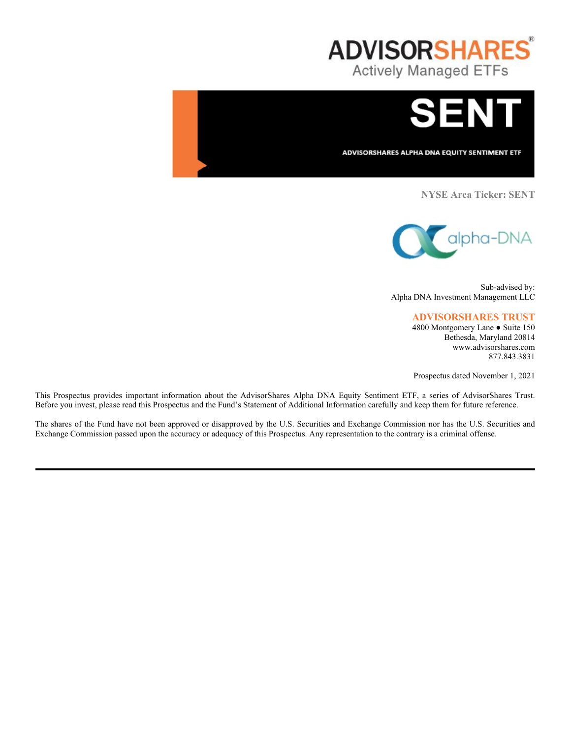



ADVISORSHARES ALPHA DNA EQUITY SENTIMENT ETF

**NYSE Arca Ticker: SENT**



Sub-advised by: Alpha DNA Investment Management LLC

## **ADVISORSHARES TRUST**

4800 Montgomery Lane ● Suite 150 Bethesda, Maryland 20814 www.advisorshares.com 877.843.3831

Prospectus dated November 1, 2021

This Prospectus provides important information about the AdvisorShares Alpha DNA Equity Sentiment ETF, a series of AdvisorShares Trust. Before you invest, please read this Prospectus and the Fund's Statement of Additional Information carefully and keep them for future reference.

The shares of the Fund have not been approved or disapproved by the U.S. Securities and Exchange Commission nor has the U.S. Securities and Exchange Commission passed upon the accuracy or adequacy of this Prospectus. Any representation to the contrary is a criminal offense.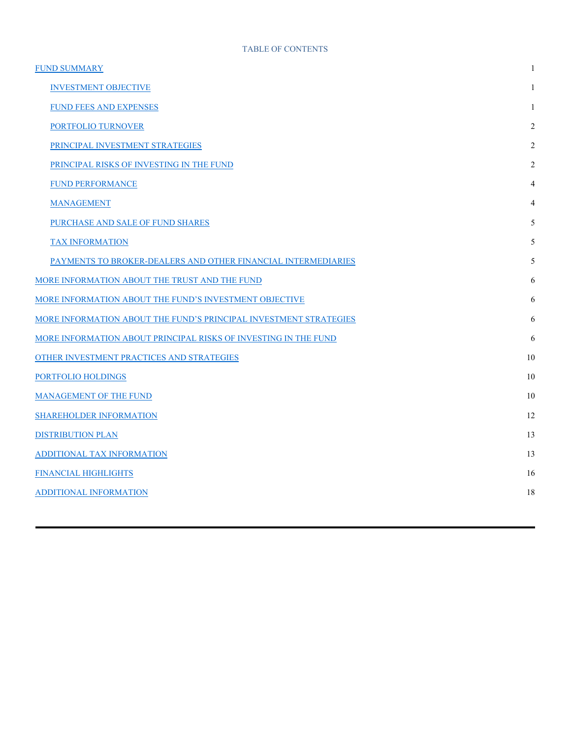| <b>FUND SUMMARY</b>                                               | 1              |
|-------------------------------------------------------------------|----------------|
| <b>INVESTMENT OBJECTIVE</b>                                       | 1              |
| <b>FUND FEES AND EXPENSES</b>                                     | 1              |
| PORTFOLIO TURNOVER                                                | 2              |
| PRINCIPAL INVESTMENT STRATEGIES                                   | 2              |
| PRINCIPAL RISKS OF INVESTING IN THE FUND                          | $\overline{2}$ |
| <b>FUND PERFORMANCE</b>                                           | 4              |
| <b>MANAGEMENT</b>                                                 | 4              |
| PURCHASE AND SALE OF FUND SHARES                                  | 5              |
| <b>TAX INFORMATION</b>                                            | 5              |
| PAYMENTS TO BROKER-DEALERS AND OTHER FINANCIAL INTERMEDIARIES     | 5              |
| MORE INFORMATION ABOUT THE TRUST AND THE FUND                     | 6              |
| MORE INFORMATION ABOUT THE FUND'S INVESTMENT OBJECTIVE            | 6              |
| MORE INFORMATION ABOUT THE FUND'S PRINCIPAL INVESTMENT STRATEGIES | 6              |
| MORE INFORMATION ABOUT PRINCIPAL RISKS OF INVESTING IN THE FUND   | 6              |
| OTHER INVESTMENT PRACTICES AND STRATEGIES                         | 10             |
| PORTFOLIO HOLDINGS                                                | 10             |
| <b>MANAGEMENT OF THE FUND</b>                                     | 10             |
| <b>SHAREHOLDER INFORMATION</b>                                    | 12             |
| <b>DISTRIBUTION PLAN</b>                                          | 13             |
| ADDITIONAL TAX INFORMATION                                        | 13             |
| FINANCIAL HIGHLIGHTS                                              | 16             |
| <b>ADDITIONAL INFORMATION</b>                                     | 18             |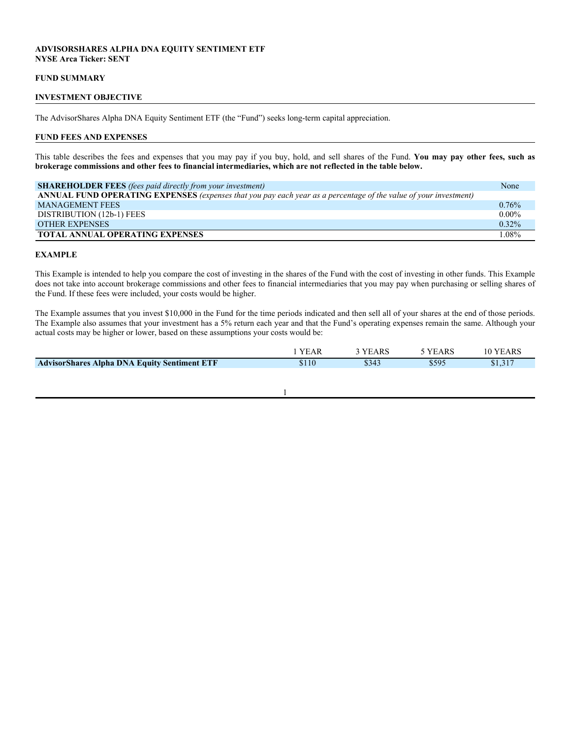# **ADVISORSHARES ALPHA DNA EQUITY SENTIMENT ETF NYSE Arca Ticker: SENT**

## **FUND SUMMARY**

## **INVESTMENT OBJECTIVE**

The AdvisorShares Alpha DNA Equity Sentiment ETF (the "Fund") seeks long-term capital appreciation.

#### **FUND FEES AND EXPENSES**

This table describes the fees and expenses that you may pay if you buy, hold, and sell shares of the Fund. **You may pay other fees, such as brokerage commissions and other fees to financial intermediaries, which are not reflected in the table below.**

| <b>SHAREHOLDER FEES</b> (fees paid directly from your investment)                                                | None     |
|------------------------------------------------------------------------------------------------------------------|----------|
| ANNUAL FUND OPERATING EXPENSES (expenses that you pay each year as a percentage of the value of your investment) |          |
| <b>MANAGEMENT FEES</b>                                                                                           | $0.76\%$ |
| DISTRIBUTION (12b-1) FEES                                                                                        | $0.00\%$ |
| <b>OTHER EXPENSES</b>                                                                                            | $0.32\%$ |
| <b>TOTAL ANNUAL OPERATING EXPENSES</b>                                                                           | 1.08%    |

#### **EXAMPLE**

This Example is intended to help you compare the cost of investing in the shares of the Fund with the cost of investing in other funds. This Example does not take into account brokerage commissions and other fees to financial intermediaries that you may pay when purchasing or selling shares of the Fund. If these fees were included, your costs would be higher.

The Example assumes that you invest \$10,000 in the Fund for the time periods indicated and then sell all of your shares at the end of those periods. The Example also assumes that your investment has a 5% return each year and that the Fund's operating expenses remain the same. Although your actual costs may be higher or lower, based on these assumptions your costs would be:

|                                                     | VĽ | `ARS  | ARS   | ARS  |
|-----------------------------------------------------|----|-------|-------|------|
|                                                     |    |       |       |      |
| <b>AdvisorShares Alpha DNA Equity Sentiment ETF</b> |    | \$343 | \$595 | .31' |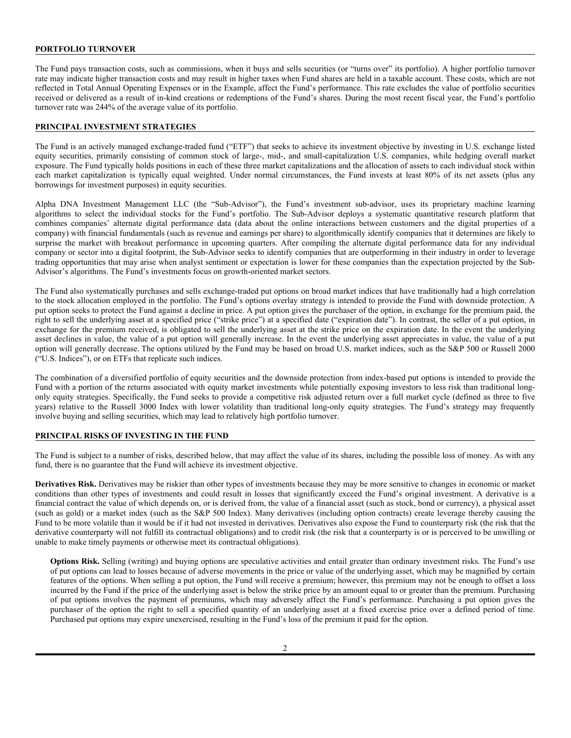# **PORTFOLIO TURNOVER**

The Fund pays transaction costs, such as commissions, when it buys and sells securities (or "turns over" its portfolio). A higher portfolio turnover rate may indicate higher transaction costs and may result in higher taxes when Fund shares are held in a taxable account. These costs, which are not reflected in Total Annual Operating Expenses or in the Example, affect the Fund's performance. This rate excludes the value of portfolio securities received or delivered as a result of in-kind creations or redemptions of the Fund's shares. During the most recent fiscal year, the Fund's portfolio turnover rate was 244% of the average value of its portfolio.

## **PRINCIPAL INVESTMENT STRATEGIES**

The Fund is an actively managed exchange-traded fund ("ETF") that seeks to achieve its investment objective by investing in U.S. exchange listed equity securities, primarily consisting of common stock of large-, mid-, and small-capitalization U.S. companies, while hedging overall market exposure. The Fund typically holds positions in each of these three market capitalizations and the allocation of assets to each individual stock within each market capitalization is typically equal weighted. Under normal circumstances, the Fund invests at least 80% of its net assets (plus any borrowings for investment purposes) in equity securities.

Alpha DNA Investment Management LLC (the "Sub-Advisor"), the Fund's investment sub-advisor, uses its proprietary machine learning algorithms to select the individual stocks for the Fund's portfolio. The Sub-Advisor deploys a systematic quantitative research platform that combines companies' alternate digital performance data (data about the online interactions between customers and the digital properties of a company) with financial fundamentals (such as revenue and earnings per share) to algorithmically identify companies that it determines are likely to surprise the market with breakout performance in upcoming quarters. After compiling the alternate digital performance data for any individual company or sector into a digital footprint, the Sub-Advisor seeks to identify companies that are outperforming in their industry in order to leverage trading opportunities that may arise when analyst sentiment or expectation is lower for these companies than the expectation projected by the Sub-Advisor's algorithms. The Fund's investments focus on growth-oriented market sectors.

The Fund also systematically purchases and sells exchange-traded put options on broad market indices that have traditionally had a high correlation to the stock allocation employed in the portfolio. The Fund's options overlay strategy is intended to provide the Fund with downside protection. A put option seeks to protect the Fund against a decline in price. A put option gives the purchaser of the option, in exchange for the premium paid, the right to sell the underlying asset at a specified price ("strike price") at a specified date ("expiration date"). In contrast, the seller of a put option, in exchange for the premium received, is obligated to sell the underlying asset at the strike price on the expiration date. In the event the underlying asset declines in value, the value of a put option will generally increase. In the event the underlying asset appreciates in value, the value of a put option will generally decrease. The options utilized by the Fund may be based on broad U.S. market indices, such as the S&P 500 or Russell 2000 ("U.S. Indices"), or on ETFs that replicate such indices.

The combination of a diversified portfolio of equity securities and the downside protection from index-based put options is intended to provide the Fund with a portion of the returns associated with equity market investments while potentially exposing investors to less risk than traditional longonly equity strategies. Specifically, the Fund seeks to provide a competitive risk adjusted return over a full market cycle (defined as three to five years) relative to the Russell 3000 Index with lower volatility than traditional long-only equity strategies. The Fund's strategy may frequently involve buying and selling securities, which may lead to relatively high portfolio turnover.

# **PRINCIPAL RISKS OF INVESTING IN THE FUND**

The Fund is subject to a number of risks, described below, that may affect the value of its shares, including the possible loss of money. As with any fund, there is no guarantee that the Fund will achieve its investment objective.

**Derivatives Risk.** Derivatives may be riskier than other types of investments because they may be more sensitive to changes in economic or market conditions than other types of investments and could result in losses that significantly exceed the Fund's original investment. A derivative is a financial contract the value of which depends on, or is derived from, the value of a financial asset (such as stock, bond or currency), a physical asset (such as gold) or a market index (such as the S&P 500 Index). Many derivatives (including option contracts) create leverage thereby causing the Fund to be more volatile than it would be if it had not invested in derivatives. Derivatives also expose the Fund to counterparty risk (the risk that the derivative counterparty will not fulfill its contractual obligations) and to credit risk (the risk that a counterparty is or is perceived to be unwilling or unable to make timely payments or otherwise meet its contractual obligations).

**Options Risk.** Selling (writing) and buying options are speculative activities and entail greater than ordinary investment risks. The Fund's use of put options can lead to losses because of adverse movements in the price or value of the underlying asset, which may be magnified by certain features of the options. When selling a put option, the Fund will receive a premium; however, this premium may not be enough to offset a loss incurred by the Fund if the price of the underlying asset is below the strike price by an amount equal to or greater than the premium. Purchasing of put options involves the payment of premiums, which may adversely affect the Fund's performance. Purchasing a put option gives the purchaser of the option the right to sell a specified quantity of an underlying asset at a fixed exercise price over a defined period of time. Purchased put options may expire unexercised, resulting in the Fund's loss of the premium it paid for the option.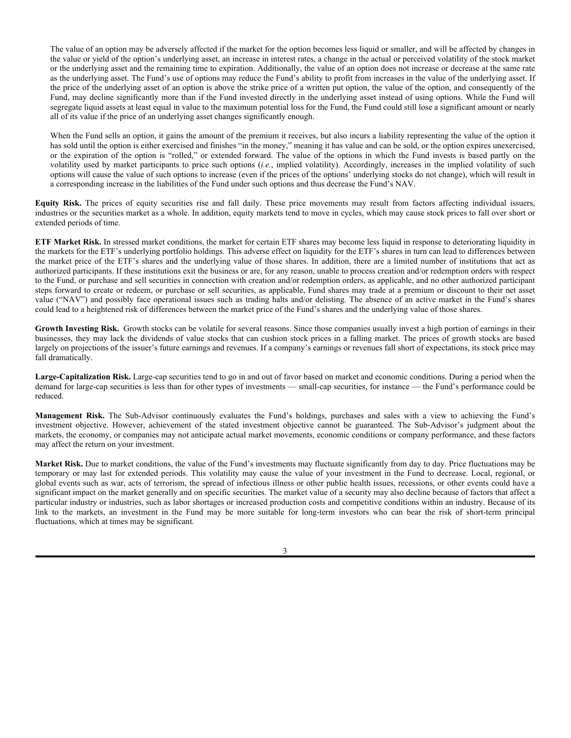The value of an option may be adversely affected if the market for the option becomes less liquid or smaller, and will be affected by changes in the value or yield of the option's underlying asset, an increase in interest rates, a change in the actual or perceived volatility of the stock market or the underlying asset and the remaining time to expiration. Additionally, the value of an option does not increase or decrease at the same rate as the underlying asset. The Fund's use of options may reduce the Fund's ability to profit from increases in the value of the underlying asset. If the price of the underlying asset of an option is above the strike price of a written put option, the value of the option, and consequently of the Fund, may decline significantly more than if the Fund invested directly in the underlying asset instead of using options. While the Fund will segregate liquid assets at least equal in value to the maximum potential loss for the Fund, the Fund could still lose a significant amount or nearly all of its value if the price of an underlying asset changes significantly enough.

When the Fund sells an option, it gains the amount of the premium it receives, but also incurs a liability representing the value of the option it has sold until the option is either exercised and finishes "in the money," meaning it has value and can be sold, or the option expires unexercised, or the expiration of the option is "rolled," or extended forward. The value of the options in which the Fund invests is based partly on the volatility used by market participants to price such options (*i.e.*, implied volatility). Accordingly, increases in the implied volatility of such options will cause the value of such options to increase (even if the prices of the options' underlying stocks do not change), which will result in a corresponding increase in the liabilities of the Fund under such options and thus decrease the Fund's NAV.

**Equity Risk.** The prices of equity securities rise and fall daily. These price movements may result from factors affecting individual issuers, industries or the securities market as a whole. In addition, equity markets tend to move in cycles, which may cause stock prices to fall over short or extended periods of time.

**ETF Market Risk.** In stressed market conditions, the market for certain ETF shares may become less liquid in response to deteriorating liquidity in the markets for the ETF's underlying portfolio holdings. This adverse effect on liquidity for the ETF's shares in turn can lead to differences between the market price of the ETF's shares and the underlying value of those shares. In addition, there are a limited number of institutions that act as authorized participants. If these institutions exit the business or are, for any reason, unable to process creation and/or redemption orders with respect to the Fund, or purchase and sell securities in connection with creation and/or redemption orders, as applicable, and no other authorized participant steps forward to create or redeem, or purchase or sell securities, as applicable, Fund shares may trade at a premium or discount to their net asset value ("NAV") and possibly face operational issues such as trading halts and/or delisting. The absence of an active market in the Fund's shares could lead to a heightened risk of differences between the market price of the Fund's shares and the underlying value of those shares.

Growth Investing Risk. Growth stocks can be volatile for several reasons. Since those companies usually invest a high portion of earnings in their businesses, they may lack the dividends of value stocks that can cushion stock prices in a falling market. The prices of growth stocks are based largely on projections of the issuer's future earnings and revenues. If a company's earnings or revenues fall short of expectations, its stock price may fall dramatically.

**Large-Capitalization Risk.** Large-cap securities tend to go in and out of favor based on market and economic conditions. During a period when the demand for large-cap securities is less than for other types of investments — small-cap securities, for instance — the Fund's performance could be reduced.

**Management Risk.** The Sub-Advisor continuously evaluates the Fund's holdings, purchases and sales with a view to achieving the Fund's investment objective. However, achievement of the stated investment objective cannot be guaranteed. The Sub-Advisor's judgment about the markets, the economy, or companies may not anticipate actual market movements, economic conditions or company performance, and these factors may affect the return on your investment.

**Market Risk.** Due to market conditions, the value of the Fund's investments may fluctuate significantly from day to day. Price fluctuations may be temporary or may last for extended periods. This volatility may cause the value of your investment in the Fund to decrease. Local, regional, or global events such as war, acts of terrorism, the spread of infectious illness or other public health issues, recessions, or other events could have a significant impact on the market generally and on specific securities. The market value of a security may also decline because of factors that affect a particular industry or industries, such as labor shortages or increased production costs and competitive conditions within an industry. Because of its link to the markets, an investment in the Fund may be more suitable for long-term investors who can bear the risk of short-term principal fluctuations, which at times may be significant.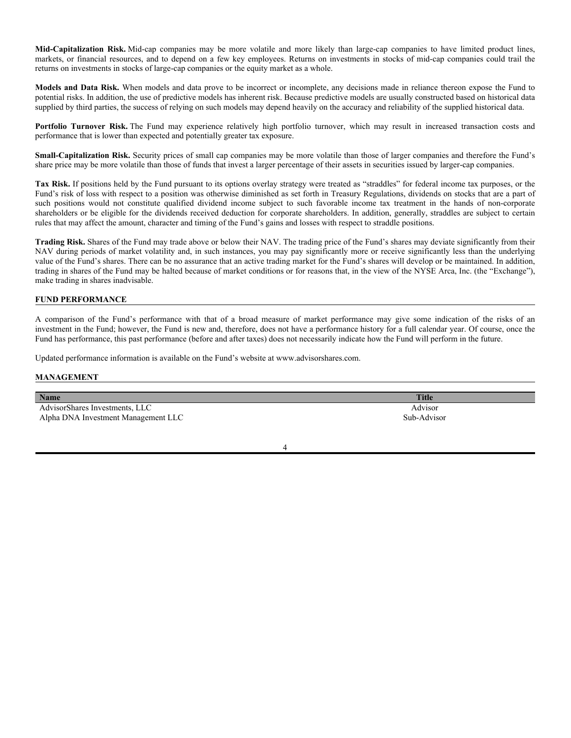**Mid-Capitalization Risk.** Mid-cap companies may be more volatile and more likely than large-cap companies to have limited product lines, markets, or financial resources, and to depend on a few key employees. Returns on investments in stocks of mid-cap companies could trail the returns on investments in stocks of large-cap companies or the equity market as a whole.

**Models and Data Risk.** When models and data prove to be incorrect or incomplete, any decisions made in reliance thereon expose the Fund to potential risks. In addition, the use of predictive models has inherent risk. Because predictive models are usually constructed based on historical data supplied by third parties, the success of relying on such models may depend heavily on the accuracy and reliability of the supplied historical data.

**Portfolio Turnover Risk.** The Fund may experience relatively high portfolio turnover, which may result in increased transaction costs and performance that is lower than expected and potentially greater tax exposure.

**Small-Capitalization Risk.** Security prices of small cap companies may be more volatile than those of larger companies and therefore the Fund's share price may be more volatile than those of funds that invest a larger percentage of their assets in securities issued by larger-cap companies.

Tax Risk. If positions held by the Fund pursuant to its options overlay strategy were treated as "straddles" for federal income tax purposes, or the Fund's risk of loss with respect to a position was otherwise diminished as set forth in Treasury Regulations, dividends on stocks that are a part of such positions would not constitute qualified dividend income subject to such favorable income tax treatment in the hands of non-corporate shareholders or be eligible for the dividends received deduction for corporate shareholders. In addition, generally, straddles are subject to certain rules that may affect the amount, character and timing of the Fund's gains and losses with respect to straddle positions.

**Trading Risk.** Shares of the Fund may trade above or below their NAV. The trading price of the Fund's shares may deviate significantly from their NAV during periods of market volatility and, in such instances, you may pay significantly more or receive significantly less than the underlying value of the Fund's shares. There can be no assurance that an active trading market for the Fund's shares will develop or be maintained. In addition, trading in shares of the Fund may be halted because of market conditions or for reasons that, in the view of the NYSE Arca, Inc. (the "Exchange"), make trading in shares inadvisable.

## **FUND PERFORMANCE**

A comparison of the Fund's performance with that of a broad measure of market performance may give some indication of the risks of an investment in the Fund; however, the Fund is new and, therefore, does not have a performance history for a full calendar year. Of course, once the Fund has performance, this past performance (before and after taxes) does not necessarily indicate how the Fund will perform in the future.

Updated performance information is available on the Fund's website at www.advisorshares.com.

## **MANAGEMENT**

| <b>Name</b>                         | <b>Title</b> |
|-------------------------------------|--------------|
| AdvisorShares Investments, LLC      | Advisor      |
| Alpha DNA Investment Management LLC | Sub-Advisor  |
|                                     |              |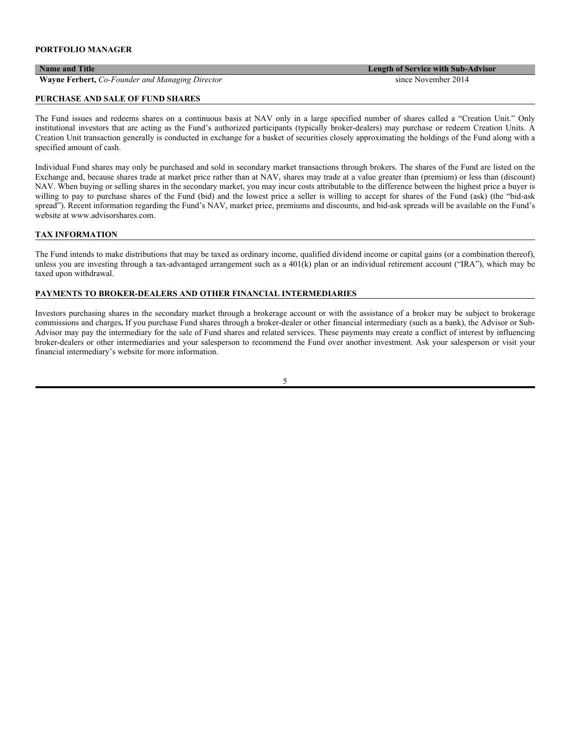**Wayne Ferbert,** *Co-Founder and Managing Director* since November 2014

#### **PURCHASE AND SALE OF FUND SHARES**

The Fund issues and redeems shares on a continuous basis at NAV only in a large specified number of shares called a "Creation Unit." Only institutional investors that are acting as the Fund's authorized participants (typically broker-dealers) may purchase or redeem Creation Units. A Creation Unit transaction generally is conducted in exchange for a basket of securities closely approximating the holdings of the Fund along with a specified amount of cash.

Individual Fund shares may only be purchased and sold in secondary market transactions through brokers. The shares of the Fund are listed on the Exchange and, because shares trade at market price rather than at NAV, shares may trade at a value greater than (premium) or less than (discount) NAV. When buying or selling shares in the secondary market, you may incur costs attributable to the difference between the highest price a buyer is willing to pay to purchase shares of the Fund (bid) and the lowest price a seller is willing to accept for shares of the Fund (ask) (the "bid-ask spread"). Recent information regarding the Fund's NAV, market price, premiums and discounts, and bid-ask spreads will be available on the Fund's website at www.advisorshares.com.

## **TAX INFORMATION**

The Fund intends to make distributions that may be taxed as ordinary income, qualified dividend income or capital gains (or a combination thereof), unless you are investing through a tax-advantaged arrangement such as a 401(k) plan or an individual retirement account ("IRA"), which may be taxed upon withdrawal.

## **PAYMENTS TO BROKER-DEALERS AND OTHER FINANCIAL INTERMEDIARIES**

Investors purchasing shares in the secondary market through a brokerage account or with the assistance of a broker may be subject to brokerage commissions and charges**.** If you purchase Fund shares through a broker-dealer or other financial intermediary (such as a bank), the Advisor or Sub-Advisor may pay the intermediary for the sale of Fund shares and related services. These payments may create a conflict of interest by influencing broker-dealers or other intermediaries and your salesperson to recommend the Fund over another investment. Ask your salesperson or visit your financial intermediary's website for more information.

5

**Name and Title Length of Service with Sub-Advisor**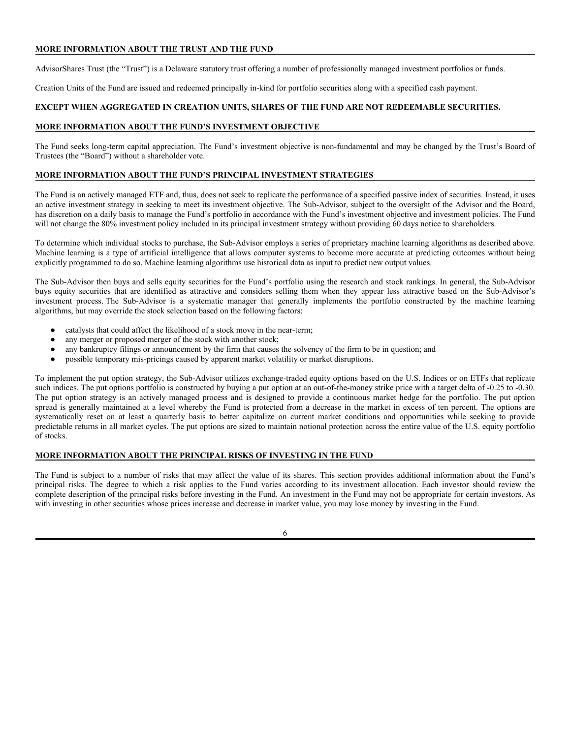# **MORE INFORMATION ABOUT THE TRUST AND THE FUND**

AdvisorShares Trust (the "Trust") is a Delaware statutory trust offering a number of professionally managed investment portfolios or funds.

Creation Units of the Fund are issued and redeemed principally in-kind for portfolio securities along with a specified cash payment.

## **EXCEPT WHEN AGGREGATED IN CREATION UNITS, SHARES OF THE FUND ARE NOT REDEEMABLE SECURITIES.**

## **MORE INFORMATION ABOUT THE FUND'S INVESTMENT OBJECTIVE**

The Fund seeks long-term capital appreciation. The Fund's investment objective is non-fundamental and may be changed by the Trust's Board of Trustees (the "Board") without a shareholder vote.

## **MORE INFORMATION ABOUT THE FUND'S PRINCIPAL INVESTMENT STRATEGIES**

The Fund is an actively managed ETF and, thus, does not seek to replicate the performance of a specified passive index of securities. Instead, it uses an active investment strategy in seeking to meet its investment objective. The Sub-Advisor, subject to the oversight of the Advisor and the Board, has discretion on a daily basis to manage the Fund's portfolio in accordance with the Fund's investment objective and investment policies. The Fund will not change the 80% investment policy included in its principal investment strategy without providing 60 days notice to shareholders.

To determine which individual stocks to purchase, the Sub-Advisor employs a series of proprietary machine learning algorithms as described above. Machine learning is a type of artificial intelligence that allows computer systems to become more accurate at predicting outcomes without being explicitly programmed to do so. Machine learning algorithms use historical data as input to predict new output values.

The Sub-Advisor then buys and sells equity securities for the Fund's portfolio using the research and stock rankings. In general, the Sub-Advisor buys equity securities that are identified as attractive and considers selling them when they appear less attractive based on the Sub-Advisor's investment process. The Sub-Advisor is a systematic manager that generally implements the portfolio constructed by the machine learning algorithms, but may override the stock selection based on the following factors:

- catalysts that could affect the likelihood of a stock move in the near-term;
- any merger or proposed merger of the stock with another stock;
- any bankruptcy filings or announcement by the firm that causes the solvency of the firm to be in question; and
- possible temporary mis-pricings caused by apparent market volatility or market disruptions.

To implement the put option strategy, the Sub-Advisor utilizes exchange-traded equity options based on the U.S. Indices or on ETFs that replicate such indices. The put options portfolio is constructed by buying a put option at an out-of-the-money strike price with a target delta of -0.25 to -0.30. The put option strategy is an actively managed process and is designed to provide a continuous market hedge for the portfolio. The put option spread is generally maintained at a level whereby the Fund is protected from a decrease in the market in excess of ten percent. The options are systematically reset on at least a quarterly basis to better capitalize on current market conditions and opportunities while seeking to provide predictable returns in all market cycles. The put options are sized to maintain notional protection across the entire value of the U.S. equity portfolio of stocks.

#### **MORE INFORMATION ABOUT THE PRINCIPAL RISKS OF INVESTING IN THE FUND**

The Fund is subject to a number of risks that may affect the value of its shares. This section provides additional information about the Fund's principal risks. The degree to which a risk applies to the Fund varies according to its investment allocation. Each investor should review the complete description of the principal risks before investing in the Fund. An investment in the Fund may not be appropriate for certain investors. As with investing in other securities whose prices increase and decrease in market value, you may lose money by investing in the Fund.

6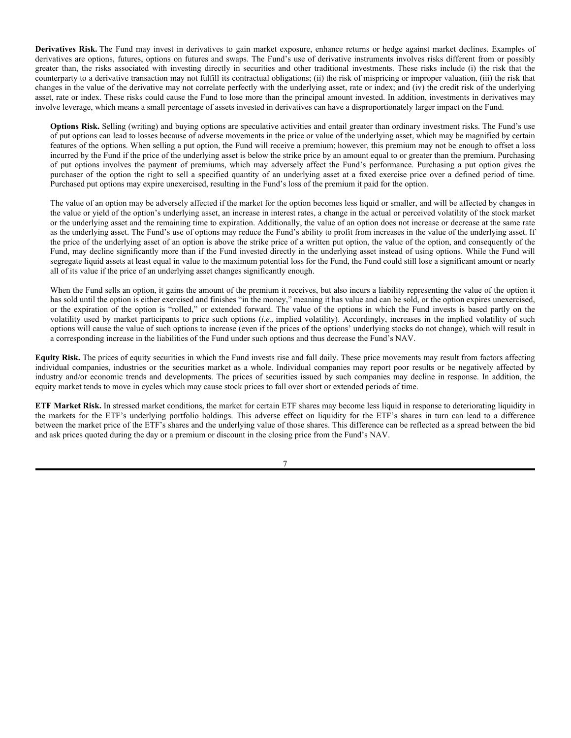**Derivatives Risk.** The Fund may invest in derivatives to gain market exposure, enhance returns or hedge against market declines. Examples of derivatives are options, futures, options on futures and swaps. The Fund's use of derivative instruments involves risks different from or possibly greater than, the risks associated with investing directly in securities and other traditional investments. These risks include (i) the risk that the counterparty to a derivative transaction may not fulfill its contractual obligations; (ii) the risk of mispricing or improper valuation, (iii) the risk that changes in the value of the derivative may not correlate perfectly with the underlying asset, rate or index; and (iv) the credit risk of the underlying asset, rate or index. These risks could cause the Fund to lose more than the principal amount invested. In addition, investments in derivatives may involve leverage, which means a small percentage of assets invested in derivatives can have a disproportionately larger impact on the Fund.

**Options Risk.** Selling (writing) and buying options are speculative activities and entail greater than ordinary investment risks. The Fund's use of put options can lead to losses because of adverse movements in the price or value of the underlying asset, which may be magnified by certain features of the options. When selling a put option, the Fund will receive a premium; however, this premium may not be enough to offset a loss incurred by the Fund if the price of the underlying asset is below the strike price by an amount equal to or greater than the premium. Purchasing of put options involves the payment of premiums, which may adversely affect the Fund's performance. Purchasing a put option gives the purchaser of the option the right to sell a specified quantity of an underlying asset at a fixed exercise price over a defined period of time. Purchased put options may expire unexercised, resulting in the Fund's loss of the premium it paid for the option.

The value of an option may be adversely affected if the market for the option becomes less liquid or smaller, and will be affected by changes in the value or yield of the option's underlying asset, an increase in interest rates, a change in the actual or perceived volatility of the stock market or the underlying asset and the remaining time to expiration. Additionally, the value of an option does not increase or decrease at the same rate as the underlying asset. The Fund's use of options may reduce the Fund's ability to profit from increases in the value of the underlying asset. If the price of the underlying asset of an option is above the strike price of a written put option, the value of the option, and consequently of the Fund, may decline significantly more than if the Fund invested directly in the underlying asset instead of using options. While the Fund will segregate liquid assets at least equal in value to the maximum potential loss for the Fund, the Fund could still lose a significant amount or nearly all of its value if the price of an underlying asset changes significantly enough.

When the Fund sells an option, it gains the amount of the premium it receives, but also incurs a liability representing the value of the option it has sold until the option is either exercised and finishes "in the money," meaning it has value and can be sold, or the option expires unexercised, or the expiration of the option is "rolled," or extended forward. The value of the options in which the Fund invests is based partly on the volatility used by market participants to price such options (*i.e.,* implied volatility). Accordingly, increases in the implied volatility of such options will cause the value of such options to increase (even if the prices of the options' underlying stocks do not change), which will result in a corresponding increase in the liabilities of the Fund under such options and thus decrease the Fund's NAV.

**Equity Risk.** The prices of equity securities in which the Fund invests rise and fall daily. These price movements may result from factors affecting individual companies, industries or the securities market as a whole. Individual companies may report poor results or be negatively affected by industry and/or economic trends and developments. The prices of securities issued by such companies may decline in response. In addition, the equity market tends to move in cycles which may cause stock prices to fall over short or extended periods of time.

**ETF Market Risk.** In stressed market conditions, the market for certain ETF shares may become less liquid in response to deteriorating liquidity in the markets for the ETF's underlying portfolio holdings. This adverse effect on liquidity for the ETF's shares in turn can lead to a difference between the market price of the ETF's shares and the underlying value of those shares. This difference can be reflected as a spread between the bid and ask prices quoted during the day or a premium or discount in the closing price from the Fund's NAV.

7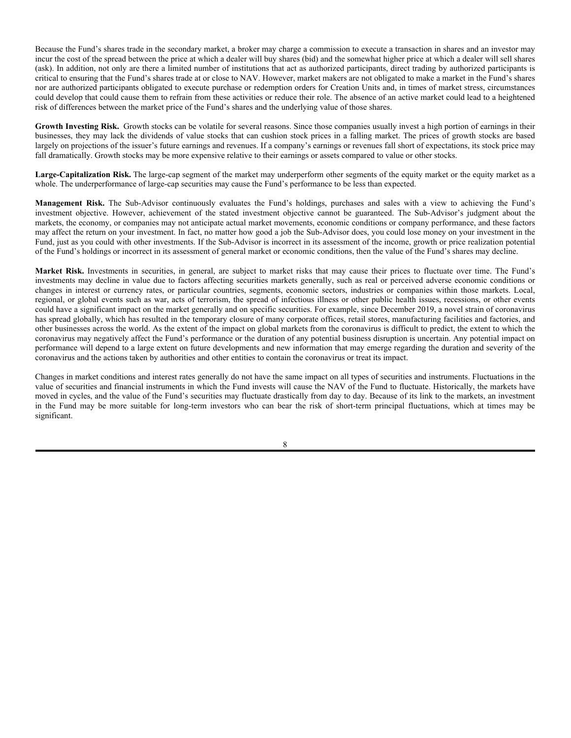Because the Fund's shares trade in the secondary market, a broker may charge a commission to execute a transaction in shares and an investor may incur the cost of the spread between the price at which a dealer will buy shares (bid) and the somewhat higher price at which a dealer will sell shares (ask). In addition, not only are there a limited number of institutions that act as authorized participants, direct trading by authorized participants is critical to ensuring that the Fund's shares trade at or close to NAV. However, market makers are not obligated to make a market in the Fund's shares nor are authorized participants obligated to execute purchase or redemption orders for Creation Units and, in times of market stress, circumstances could develop that could cause them to refrain from these activities or reduce their role. The absence of an active market could lead to a heightened risk of differences between the market price of the Fund's shares and the underlying value of those shares.

Growth Investing Risk. Growth stocks can be volatile for several reasons. Since those companies usually invest a high portion of earnings in their businesses, they may lack the dividends of value stocks that can cushion stock prices in a falling market. The prices of growth stocks are based largely on projections of the issuer's future earnings and revenues. If a company's earnings or revenues fall short of expectations, its stock price may fall dramatically. Growth stocks may be more expensive relative to their earnings or assets compared to value or other stocks.

**Large-Capitalization Risk.** The large-cap segment of the market may underperform other segments of the equity market or the equity market as a whole. The underperformance of large-cap securities may cause the Fund's performance to be less than expected.

**Management Risk.** The Sub-Advisor continuously evaluates the Fund's holdings, purchases and sales with a view to achieving the Fund's investment objective. However, achievement of the stated investment objective cannot be guaranteed. The Sub-Advisor's judgment about the markets, the economy, or companies may not anticipate actual market movements, economic conditions or company performance, and these factors may affect the return on your investment. In fact, no matter how good a job the Sub-Advisor does, you could lose money on your investment in the Fund, just as you could with other investments. If the Sub-Advisor is incorrect in its assessment of the income, growth or price realization potential of the Fund's holdings or incorrect in its assessment of general market or economic conditions, then the value of the Fund's shares may decline.

**Market Risk.** Investments in securities, in general, are subject to market risks that may cause their prices to fluctuate over time. The Fund's investments may decline in value due to factors affecting securities markets generally, such as real or perceived adverse economic conditions or changes in interest or currency rates, or particular countries, segments, economic sectors, industries or companies within those markets. Local, regional, or global events such as war, acts of terrorism, the spread of infectious illness or other public health issues, recessions, or other events could have a significant impact on the market generally and on specific securities. For example, since December 2019, a novel strain of coronavirus has spread globally, which has resulted in the temporary closure of many corporate offices, retail stores, manufacturing facilities and factories, and other businesses across the world. As the extent of the impact on global markets from the coronavirus is difficult to predict, the extent to which the coronavirus may negatively affect the Fund's performance or the duration of any potential business disruption is uncertain. Any potential impact on performance will depend to a large extent on future developments and new information that may emerge regarding the duration and severity of the coronavirus and the actions taken by authorities and other entities to contain the coronavirus or treat its impact.

Changes in market conditions and interest rates generally do not have the same impact on all types of securities and instruments. Fluctuations in the value of securities and financial instruments in which the Fund invests will cause the NAV of the Fund to fluctuate. Historically, the markets have moved in cycles, and the value of the Fund's securities may fluctuate drastically from day to day. Because of its link to the markets, an investment in the Fund may be more suitable for long-term investors who can bear the risk of short-term principal fluctuations, which at times may be significant.

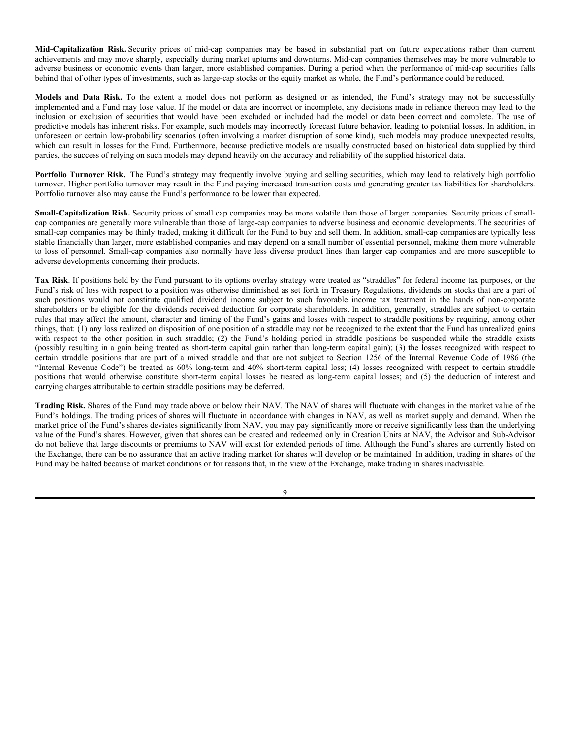**Mid-Capitalization Risk.** Security prices of mid-cap companies may be based in substantial part on future expectations rather than current achievements and may move sharply, especially during market upturns and downturns. Mid-cap companies themselves may be more vulnerable to adverse business or economic events than larger, more established companies. During a period when the performance of mid-cap securities falls behind that of other types of investments, such as large-cap stocks or the equity market as whole, the Fund's performance could be reduced.

**Models and Data Risk.** To the extent a model does not perform as designed or as intended, the Fund's strategy may not be successfully implemented and a Fund may lose value. If the model or data are incorrect or incomplete, any decisions made in reliance thereon may lead to the inclusion or exclusion of securities that would have been excluded or included had the model or data been correct and complete. The use of predictive models has inherent risks. For example, such models may incorrectly forecast future behavior, leading to potential losses. In addition, in unforeseen or certain low-probability scenarios (often involving a market disruption of some kind), such models may produce unexpected results, which can result in losses for the Fund. Furthermore, because predictive models are usually constructed based on historical data supplied by third parties, the success of relying on such models may depend heavily on the accuracy and reliability of the supplied historical data.

**Portfolio Turnover Risk.** The Fund's strategy may frequently involve buying and selling securities, which may lead to relatively high portfolio turnover. Higher portfolio turnover may result in the Fund paying increased transaction costs and generating greater tax liabilities for shareholders. Portfolio turnover also may cause the Fund's performance to be lower than expected.

**Small-Capitalization Risk.** Security prices of small cap companies may be more volatile than those of larger companies. Security prices of smallcap companies are generally more vulnerable than those of large-cap companies to adverse business and economic developments. The securities of small-cap companies may be thinly traded, making it difficult for the Fund to buy and sell them. In addition, small-cap companies are typically less stable financially than larger, more established companies and may depend on a small number of essential personnel, making them more vulnerable to loss of personnel. Small-cap companies also normally have less diverse product lines than larger cap companies and are more susceptible to adverse developments concerning their products.

**Tax Risk**. If positions held by the Fund pursuant to its options overlay strategy were treated as "straddles" for federal income tax purposes, or the Fund's risk of loss with respect to a position was otherwise diminished as set forth in Treasury Regulations, dividends on stocks that are a part of such positions would not constitute qualified dividend income subject to such favorable income tax treatment in the hands of non-corporate shareholders or be eligible for the dividends received deduction for corporate shareholders. In addition, generally, straddles are subject to certain rules that may affect the amount, character and timing of the Fund's gains and losses with respect to straddle positions by requiring, among other things, that: (1) any loss realized on disposition of one position of a straddle may not be recognized to the extent that the Fund has unrealized gains with respect to the other position in such straddle; (2) the Fund's holding period in straddle positions be suspended while the straddle exists (possibly resulting in a gain being treated as short-term capital gain rather than long-term capital gain); (3) the losses recognized with respect to certain straddle positions that are part of a mixed straddle and that are not subject to Section 1256 of the Internal Revenue Code of 1986 (the "Internal Revenue Code") be treated as 60% long-term and 40% short-term capital loss; (4) losses recognized with respect to certain straddle positions that would otherwise constitute short-term capital losses be treated as long-term capital losses; and (5) the deduction of interest and carrying charges attributable to certain straddle positions may be deferred.

**Trading Risk.** Shares of the Fund may trade above or below their NAV. The NAV of shares will fluctuate with changes in the market value of the Fund's holdings. The trading prices of shares will fluctuate in accordance with changes in NAV, as well as market supply and demand. When the market price of the Fund's shares deviates significantly from NAV, you may pay significantly more or receive significantly less than the underlying value of the Fund's shares. However, given that shares can be created and redeemed only in Creation Units at NAV, the Advisor and Sub-Advisor do not believe that large discounts or premiums to NAV will exist for extended periods of time. Although the Fund's shares are currently listed on the Exchange, there can be no assurance that an active trading market for shares will develop or be maintained. In addition, trading in shares of the Fund may be halted because of market conditions or for reasons that, in the view of the Exchange, make trading in shares inadvisable.

 $\overline{Q}$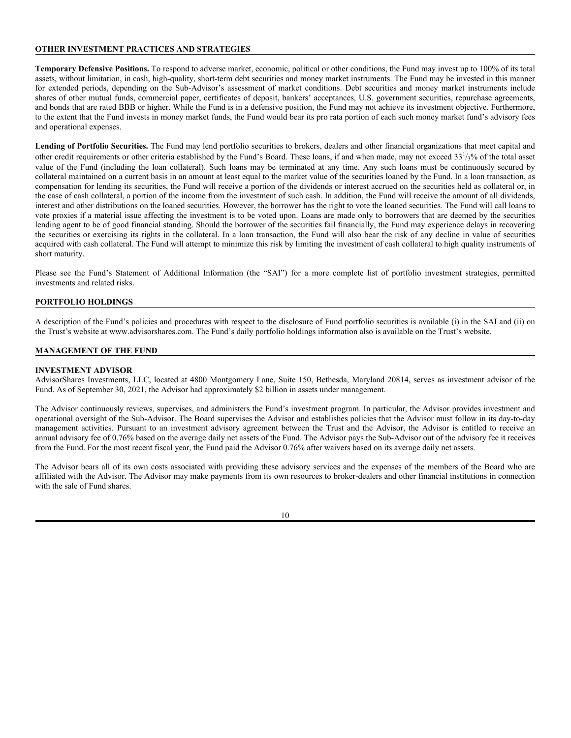# **OTHER INVESTMENT PRACTICES AND STRATEGIES**

**Temporary Defensive Positions.** To respond to adverse market, economic, political or other conditions, the Fund may invest up to 100% of its total assets, without limitation, in cash, high-quality, short-term debt securities and money market instruments. The Fund may be invested in this manner for extended periods, depending on the Sub-Advisor's assessment of market conditions. Debt securities and money market instruments include shares of other mutual funds, commercial paper, certificates of deposit, bankers' acceptances, U.S. government securities, repurchase agreements, and bonds that are rated BBB or higher. While the Fund is in a defensive position, the Fund may not achieve its investment objective. Furthermore, to the extent that the Fund invests in money market funds, the Fund would bear its pro rata portion of each such money market fund's advisory fees and operational expenses.

**Lending of Portfolio Securities.** The Fund may lend portfolio securities to brokers, dealers and other financial organizations that meet capital and other credit requirements or other criteria established by the Fund's Board. These loans, if and when made, may not exceed 33<sup>1</sup>/<sub>3</sub>% of the total asset value of the Fund (including the loan collateral). Such loans may be terminated at any time. Any such loans must be continuously secured by collateral maintained on a current basis in an amount at least equal to the market value of the securities loaned by the Fund. In a loan transaction, as compensation for lending its securities, the Fund will receive a portion of the dividends or interest accrued on the securities held as collateral or, in the case of cash collateral, a portion of the income from the investment of such cash. In addition, the Fund will receive the amount of all dividends, interest and other distributions on the loaned securities. However, the borrower has the right to vote the loaned securities. The Fund will call loans to vote proxies if a material issue affecting the investment is to be voted upon. Loans are made only to borrowers that are deemed by the securities lending agent to be of good financial standing. Should the borrower of the securities fail financially, the Fund may experience delays in recovering the securities or exercising its rights in the collateral. In a loan transaction, the Fund will also bear the risk of any decline in value of securities acquired with cash collateral. The Fund will attempt to minimize this risk by limiting the investment of cash collateral to high quality instruments of short maturity.

Please see the Fund's Statement of Additional Information (the "SAI") for a more complete list of portfolio investment strategies, permitted investments and related risks.

# **PORTFOLIO HOLDINGS**

A description of the Fund's policies and procedures with respect to the disclosure of Fund portfolio securities is available (i) in the SAI and (ii) on the Trust's website at www.advisorshares.com. The Fund's daily portfolio holdings information also is available on the Trust's website.

# **MANAGEMENT OF THE FUND**

# **INVESTMENT ADVISOR**

AdvisorShares Investments, LLC, located at 4800 Montgomery Lane, Suite 150, Bethesda, Maryland 20814, serves as investment advisor of the Fund. As of September 30, 2021, the Advisor had approximately \$2 billion in assets under management.

The Advisor continuously reviews, supervises, and administers the Fund's investment program. In particular, the Advisor provides investment and operational oversight of the Sub-Advisor. The Board supervises the Advisor and establishes policies that the Advisor must follow in its day-to-day management activities. Pursuant to an investment advisory agreement between the Trust and the Advisor, the Advisor is entitled to receive an annual advisory fee of 0.76% based on the average daily net assets of the Fund. The Advisor pays the Sub-Advisor out of the advisory fee it receives from the Fund. For the most recent fiscal year, the Fund paid the Advisor 0.76% after waivers based on its average daily net assets.

The Advisor bears all of its own costs associated with providing these advisory services and the expenses of the members of the Board who are affiliated with the Advisor. The Advisor may make payments from its own resources to broker-dealers and other financial institutions in connection with the sale of Fund shares.

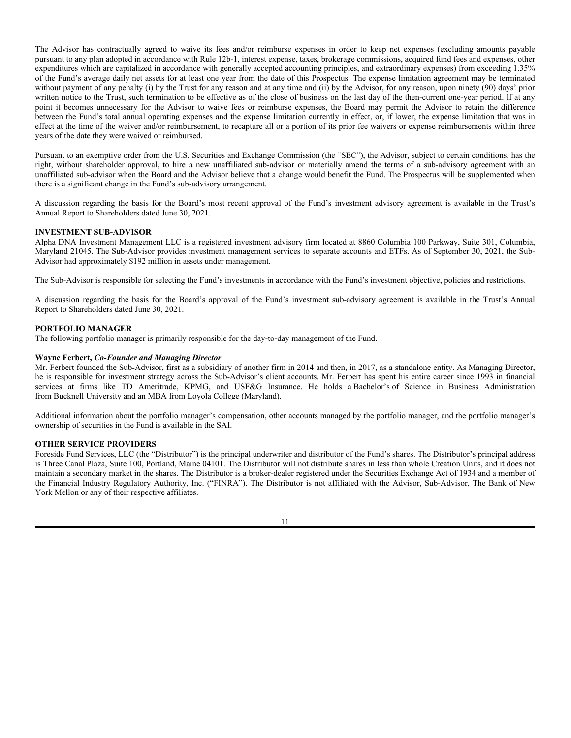The Advisor has contractually agreed to waive its fees and/or reimburse expenses in order to keep net expenses (excluding amounts payable pursuant to any plan adopted in accordance with Rule 12b-1, interest expense, taxes, brokerage commissions, acquired fund fees and expenses, other expenditures which are capitalized in accordance with generally accepted accounting principles, and extraordinary expenses) from exceeding 1.35% of the Fund's average daily net assets for at least one year from the date of this Prospectus. The expense limitation agreement may be terminated without payment of any penalty (i) by the Trust for any reason and at any time and (ii) by the Advisor, for any reason, upon ninety (90) days' prior written notice to the Trust, such termination to be effective as of the close of business on the last day of the then-current one-year period. If at any point it becomes unnecessary for the Advisor to waive fees or reimburse expenses, the Board may permit the Advisor to retain the difference between the Fund's total annual operating expenses and the expense limitation currently in effect, or, if lower, the expense limitation that was in effect at the time of the waiver and/or reimbursement, to recapture all or a portion of its prior fee waivers or expense reimbursements within three years of the date they were waived or reimbursed.

Pursuant to an exemptive order from the U.S. Securities and Exchange Commission (the "SEC"), the Advisor, subject to certain conditions, has the right, without shareholder approval, to hire a new unaffiliated sub-advisor or materially amend the terms of a sub-advisory agreement with an unaffiliated sub-advisor when the Board and the Advisor believe that a change would benefit the Fund. The Prospectus will be supplemented when there is a significant change in the Fund's sub-advisory arrangement.

A discussion regarding the basis for the Board's most recent approval of the Fund's investment advisory agreement is available in the Trust's Annual Report to Shareholders dated June 30, 2021.

## **INVESTMENT SUB-ADVISOR**

Alpha DNA Investment Management LLC is a registered investment advisory firm located at 8860 Columbia 100 Parkway, Suite 301, Columbia, Maryland 21045. The Sub-Advisor provides investment management services to separate accounts and ETFs. As of September 30, 2021, the Sub-Advisor had approximately \$192 million in assets under management.

The Sub-Advisor is responsible for selecting the Fund's investments in accordance with the Fund's investment objective, policies and restrictions.

A discussion regarding the basis for the Board's approval of the Fund's investment sub-advisory agreement is available in the Trust's Annual Report to Shareholders dated June 30, 2021.

#### **PORTFOLIO MANAGER**

The following portfolio manager is primarily responsible for the day-to-day management of the Fund.

## **Wayne Ferbert,** *Co-Founder and Managing Director*

Mr. Ferbert founded the Sub-Advisor, first as a subsidiary of another firm in 2014 and then, in 2017, as a standalone entity. As Managing Director, he is responsible for investment strategy across the Sub-Advisor's client accounts. Mr. Ferbert has spent his entire career since 1993 in financial services at firms like TD Ameritrade, KPMG, and USF&G Insurance. He holds a Bachelor's of Science in Business Administration from Bucknell University and an MBA from Loyola College (Maryland).

Additional information about the portfolio manager's compensation, other accounts managed by the portfolio manager, and the portfolio manager's ownership of securities in the Fund is available in the SAI.

#### **OTHER SERVICE PROVIDERS**

Foreside Fund Services, LLC (the "Distributor") is the principal underwriter and distributor of the Fund's shares. The Distributor's principal address is Three Canal Plaza, Suite 100, Portland, Maine 04101. The Distributor will not distribute shares in less than whole Creation Units, and it does not maintain a secondary market in the shares. The Distributor is a broker-dealer registered under the Securities Exchange Act of 1934 and a member of the Financial Industry Regulatory Authority, Inc. ("FINRA"). The Distributor is not affiliated with the Advisor, Sub-Advisor, The Bank of New York Mellon or any of their respective affiliates.

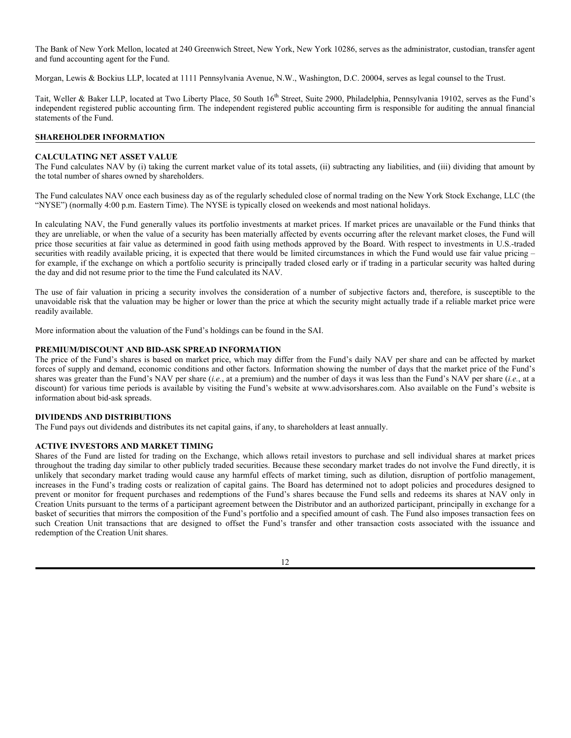The Bank of New York Mellon, located at 240 Greenwich Street, New York, New York 10286, serves as the administrator, custodian, transfer agent and fund accounting agent for the Fund.

Morgan, Lewis & Bockius LLP, located at 1111 Pennsylvania Avenue, N.W., Washington, D.C. 20004, serves as legal counsel to the Trust.

Tait, Weller & Baker LLP, located at Two Liberty Place, 50 South 16<sup>th</sup> Street, Suite 2900, Philadelphia, Pennsylvania 19102, serves as the Fund's independent registered public accounting firm. The independent registered public accounting firm is responsible for auditing the annual financial statements of the Fund.

## **SHAREHOLDER INFORMATION**

#### **CALCULATING NET ASSET VALUE**

The Fund calculates NAV by (i) taking the current market value of its total assets, (ii) subtracting any liabilities, and (iii) dividing that amount by the total number of shares owned by shareholders.

The Fund calculates NAV once each business day as of the regularly scheduled close of normal trading on the New York Stock Exchange, LLC (the "NYSE") (normally 4:00 p.m. Eastern Time). The NYSE is typically closed on weekends and most national holidays.

In calculating NAV, the Fund generally values its portfolio investments at market prices. If market prices are unavailable or the Fund thinks that they are unreliable, or when the value of a security has been materially affected by events occurring after the relevant market closes, the Fund will price those securities at fair value as determined in good faith using methods approved by the Board. With respect to investments in U.S.-traded securities with readily available pricing, it is expected that there would be limited circumstances in which the Fund would use fair value pricing – for example, if the exchange on which a portfolio security is principally traded closed early or if trading in a particular security was halted during the day and did not resume prior to the time the Fund calculated its NAV.

The use of fair valuation in pricing a security involves the consideration of a number of subjective factors and, therefore, is susceptible to the unavoidable risk that the valuation may be higher or lower than the price at which the security might actually trade if a reliable market price were readily available.

More information about the valuation of the Fund's holdings can be found in the SAI.

#### **PREMIUM/DISCOUNT AND BID-ASK SPREAD INFORMATION**

The price of the Fund's shares is based on market price, which may differ from the Fund's daily NAV per share and can be affected by market forces of supply and demand, economic conditions and other factors. Information showing the number of days that the market price of the Fund's shares was greater than the Fund's NAV per share (*i.e.*, at a premium) and the number of days it was less than the Fund's NAV per share (*i.e.*, at a discount) for various time periods is available by visiting the Fund's website at www.advisorshares.com. Also available on the Fund's website is information about bid-ask spreads.

#### **DIVIDENDS AND DISTRIBUTIONS**

The Fund pays out dividends and distributes its net capital gains, if any, to shareholders at least annually.

#### **ACTIVE INVESTORS AND MARKET TIMING**

Shares of the Fund are listed for trading on the Exchange, which allows retail investors to purchase and sell individual shares at market prices throughout the trading day similar to other publicly traded securities. Because these secondary market trades do not involve the Fund directly, it is unlikely that secondary market trading would cause any harmful effects of market timing, such as dilution, disruption of portfolio management, increases in the Fund's trading costs or realization of capital gains. The Board has determined not to adopt policies and procedures designed to prevent or monitor for frequent purchases and redemptions of the Fund's shares because the Fund sells and redeems its shares at NAV only in Creation Units pursuant to the terms of a participant agreement between the Distributor and an authorized participant, principally in exchange for a basket of securities that mirrors the composition of the Fund's portfolio and a specified amount of cash. The Fund also imposes transaction fees on such Creation Unit transactions that are designed to offset the Fund's transfer and other transaction costs associated with the issuance and redemption of the Creation Unit shares.

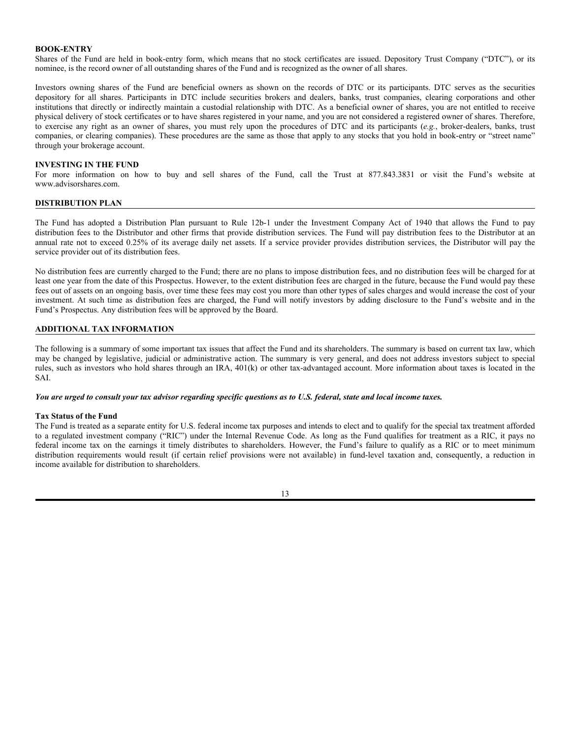## **BOOK-ENTRY**

Shares of the Fund are held in book-entry form, which means that no stock certificates are issued. Depository Trust Company ("DTC"), or its nominee, is the record owner of all outstanding shares of the Fund and is recognized as the owner of all shares.

Investors owning shares of the Fund are beneficial owners as shown on the records of DTC or its participants. DTC serves as the securities depository for all shares. Participants in DTC include securities brokers and dealers, banks, trust companies, clearing corporations and other institutions that directly or indirectly maintain a custodial relationship with DTC. As a beneficial owner of shares, you are not entitled to receive physical delivery of stock certificates or to have shares registered in your name, and you are not considered a registered owner of shares. Therefore, to exercise any right as an owner of shares, you must rely upon the procedures of DTC and its participants (*e.g.*, broker-dealers, banks, trust companies, or clearing companies). These procedures are the same as those that apply to any stocks that you hold in book-entry or "street name" through your brokerage account.

## **INVESTING IN THE FUND**

For more information on how to buy and sell shares of the Fund, call the Trust at 877.843.3831 or visit the Fund's website at www.advisorshares.com.

#### **DISTRIBUTION PLAN**

The Fund has adopted a Distribution Plan pursuant to Rule 12b-1 under the Investment Company Act of 1940 that allows the Fund to pay distribution fees to the Distributor and other firms that provide distribution services. The Fund will pay distribution fees to the Distributor at an annual rate not to exceed 0.25% of its average daily net assets. If a service provider provides distribution services, the Distributor will pay the service provider out of its distribution fees.

No distribution fees are currently charged to the Fund; there are no plans to impose distribution fees, and no distribution fees will be charged for at least one year from the date of this Prospectus. However, to the extent distribution fees are charged in the future, because the Fund would pay these fees out of assets on an ongoing basis, over time these fees may cost you more than other types of sales charges and would increase the cost of your investment. At such time as distribution fees are charged, the Fund will notify investors by adding disclosure to the Fund's website and in the Fund's Prospectus. Any distribution fees will be approved by the Board.

## **ADDITIONAL TAX INFORMATION**

The following is a summary of some important tax issues that affect the Fund and its shareholders. The summary is based on current tax law, which may be changed by legislative, judicial or administrative action. The summary is very general, and does not address investors subject to special rules, such as investors who hold shares through an IRA, 401(k) or other tax-advantaged account. More information about taxes is located in the SAI.

*You are urged to consult your tax advisor regarding specific questions as to U.S. federal, state and local income taxes.*

#### **Tax Status of the Fund**

The Fund is treated as a separate entity for U.S. federal income tax purposes and intends to elect and to qualify for the special tax treatment afforded to a regulated investment company ("RIC") under the Internal Revenue Code. As long as the Fund qualifies for treatment as a RIC, it pays no federal income tax on the earnings it timely distributes to shareholders. However, the Fund's failure to qualify as a RIC or to meet minimum distribution requirements would result (if certain relief provisions were not available) in fund-level taxation and, consequently, a reduction in income available for distribution to shareholders.

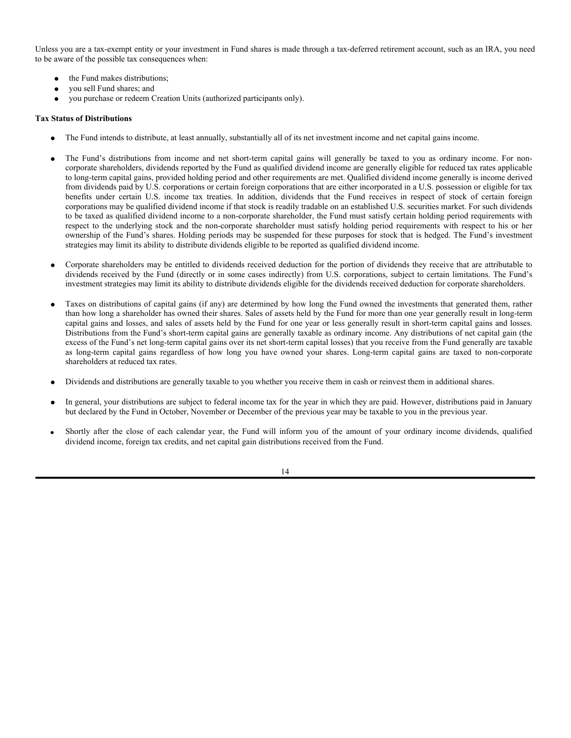Unless you are a tax-exempt entity or your investment in Fund shares is made through a tax-deferred retirement account, such as an IRA, you need to be aware of the possible tax consequences when:

- the Fund makes distributions;
- you sell Fund shares; and
- you purchase or redeem Creation Units (authorized participants only).

# **Tax Status of Distributions**

- The Fund intends to distribute, at least annually, substantially all of its net investment income and net capital gains income.
- The Fund's distributions from income and net short-term capital gains will generally be taxed to you as ordinary income. For noncorporate shareholders, dividends reported by the Fund as qualified dividend income are generally eligible for reduced tax rates applicable to long-term capital gains, provided holding period and other requirements are met. Qualified dividend income generally is income derived from dividends paid by U.S. corporations or certain foreign corporations that are either incorporated in a U.S. possession or eligible for tax benefits under certain U.S. income tax treaties. In addition, dividends that the Fund receives in respect of stock of certain foreign corporations may be qualified dividend income if that stock is readily tradable on an established U.S. securities market. For such dividends to be taxed as qualified dividend income to a non-corporate shareholder, the Fund must satisfy certain holding period requirements with respect to the underlying stock and the non-corporate shareholder must satisfy holding period requirements with respect to his or her ownership of the Fund's shares. Holding periods may be suspended for these purposes for stock that is hedged. The Fund's investment strategies may limit its ability to distribute dividends eligible to be reported as qualified dividend income.
- Corporate shareholders may be entitled to dividends received deduction for the portion of dividends they receive that are attributable to dividends received by the Fund (directly or in some cases indirectly) from U.S. corporations, subject to certain limitations. The Fund's investment strategies may limit its ability to distribute dividends eligible for the dividends received deduction for corporate shareholders.
- Taxes on distributions of capital gains (if any) are determined by how long the Fund owned the investments that generated them, rather than how long a shareholder has owned their shares. Sales of assets held by the Fund for more than one year generally result in long-term capital gains and losses, and sales of assets held by the Fund for one year or less generally result in short-term capital gains and losses. Distributions from the Fund's short-term capital gains are generally taxable as ordinary income. Any distributions of net capital gain (the excess of the Fund's net long-term capital gains over its net short-term capital losses) that you receive from the Fund generally are taxable as long-term capital gains regardless of how long you have owned your shares. Long-term capital gains are taxed to non-corporate shareholders at reduced tax rates.
- Dividends and distributions are generally taxable to you whether you receive them in cash or reinvest them in additional shares.
- In general, your distributions are subject to federal income tax for the year in which they are paid. However, distributions paid in January but declared by the Fund in October, November or December of the previous year may be taxable to you in the previous year.
- Shortly after the close of each calendar year, the Fund will inform you of the amount of your ordinary income dividends, qualified dividend income, foreign tax credits, and net capital gain distributions received from the Fund.
	- 14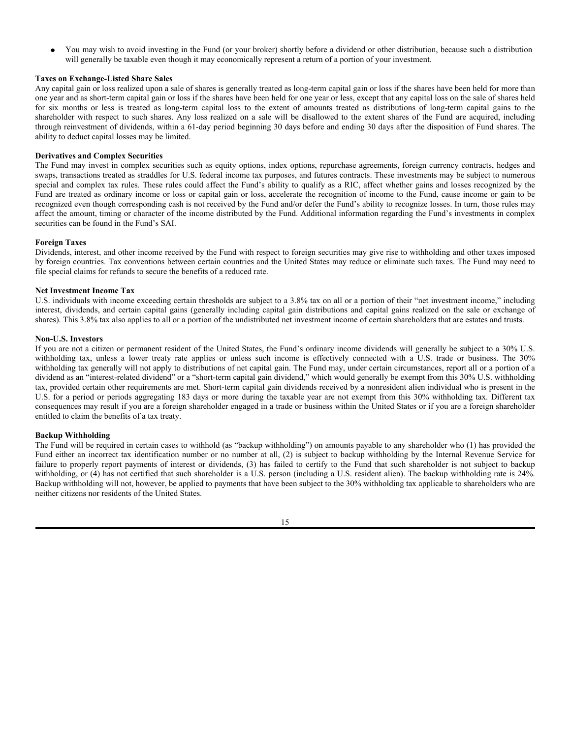You may wish to avoid investing in the Fund (or your broker) shortly before a dividend or other distribution, because such a distribution will generally be taxable even though it may economically represent a return of a portion of your investment.

## **Taxes on Exchange-Listed Share Sales**

Any capital gain or loss realized upon a sale of shares is generally treated as long-term capital gain or loss if the shares have been held for more than one year and as short-term capital gain or loss if the shares have been held for one year or less, except that any capital loss on the sale of shares held for six months or less is treated as long-term capital loss to the extent of amounts treated as distributions of long-term capital gains to the shareholder with respect to such shares. Any loss realized on a sale will be disallowed to the extent shares of the Fund are acquired, including through reinvestment of dividends, within a 61-day period beginning 30 days before and ending 30 days after the disposition of Fund shares. The ability to deduct capital losses may be limited.

## **Derivatives and Complex Securities**

The Fund may invest in complex securities such as equity options, index options, repurchase agreements, foreign currency contracts, hedges and swaps, transactions treated as straddles for U.S. federal income tax purposes, and futures contracts. These investments may be subject to numerous special and complex tax rules. These rules could affect the Fund's ability to qualify as a RIC, affect whether gains and losses recognized by the Fund are treated as ordinary income or loss or capital gain or loss, accelerate the recognition of income to the Fund, cause income or gain to be recognized even though corresponding cash is not received by the Fund and/or defer the Fund's ability to recognize losses. In turn, those rules may affect the amount, timing or character of the income distributed by the Fund. Additional information regarding the Fund's investments in complex securities can be found in the Fund's SAI.

## **Foreign Taxes**

Dividends, interest, and other income received by the Fund with respect to foreign securities may give rise to withholding and other taxes imposed by foreign countries. Tax conventions between certain countries and the United States may reduce or eliminate such taxes. The Fund may need to file special claims for refunds to secure the benefits of a reduced rate.

## **Net Investment Income Tax**

U.S. individuals with income exceeding certain thresholds are subject to a 3.8% tax on all or a portion of their "net investment income," including interest, dividends, and certain capital gains (generally including capital gain distributions and capital gains realized on the sale or exchange of shares). This 3.8% tax also applies to all or a portion of the undistributed net investment income of certain shareholders that are estates and trusts.

#### **Non-U.S. Investors**

If you are not a citizen or permanent resident of the United States, the Fund's ordinary income dividends will generally be subject to a 30% U.S. withholding tax, unless a lower treaty rate applies or unless such income is effectively connected with a U.S. trade or business. The 30% withholding tax generally will not apply to distributions of net capital gain. The Fund may, under certain circumstances, report all or a portion of a dividend as an "interest-related dividend" or a "short-term capital gain dividend," which would generally be exempt from this 30% U.S. withholding tax, provided certain other requirements are met. Short-term capital gain dividends received by a nonresident alien individual who is present in the U.S. for a period or periods aggregating 183 days or more during the taxable year are not exempt from this 30% withholding tax. Different tax consequences may result if you are a foreign shareholder engaged in a trade or business within the United States or if you are a foreign shareholder entitled to claim the benefits of a tax treaty.

### **Backup Withholding**

The Fund will be required in certain cases to withhold (as "backup withholding") on amounts payable to any shareholder who (1) has provided the Fund either an incorrect tax identification number or no number at all, (2) is subject to backup withholding by the Internal Revenue Service for failure to properly report payments of interest or dividends, (3) has failed to certify to the Fund that such shareholder is not subject to backup withholding, or (4) has not certified that such shareholder is a U.S. person (including a U.S. resident alien). The backup withholding rate is 24%. Backup withholding will not, however, be applied to payments that have been subject to the 30% withholding tax applicable to shareholders who are neither citizens nor residents of the United States.

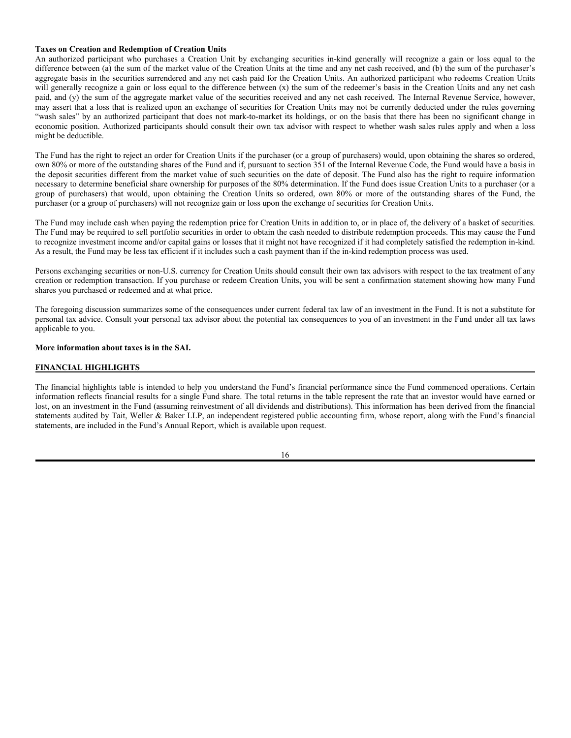#### **Taxes on Creation and Redemption of Creation Units**

An authorized participant who purchases a Creation Unit by exchanging securities in-kind generally will recognize a gain or loss equal to the difference between (a) the sum of the market value of the Creation Units at the time and any net cash received, and (b) the sum of the purchaser's aggregate basis in the securities surrendered and any net cash paid for the Creation Units. An authorized participant who redeems Creation Units will generally recognize a gain or loss equal to the difference between (x) the sum of the redeemer's basis in the Creation Units and any net cash paid, and (y) the sum of the aggregate market value of the securities received and any net cash received. The Internal Revenue Service, however, may assert that a loss that is realized upon an exchange of securities for Creation Units may not be currently deducted under the rules governing "wash sales" by an authorized participant that does not mark-to-market its holdings, or on the basis that there has been no significant change in economic position. Authorized participants should consult their own tax advisor with respect to whether wash sales rules apply and when a loss might be deductible.

The Fund has the right to reject an order for Creation Units if the purchaser (or a group of purchasers) would, upon obtaining the shares so ordered, own 80% or more of the outstanding shares of the Fund and if, pursuant to section 351 of the Internal Revenue Code, the Fund would have a basis in the deposit securities different from the market value of such securities on the date of deposit. The Fund also has the right to require information necessary to determine beneficial share ownership for purposes of the 80% determination. If the Fund does issue Creation Units to a purchaser (or a group of purchasers) that would, upon obtaining the Creation Units so ordered, own 80% or more of the outstanding shares of the Fund, the purchaser (or a group of purchasers) will not recognize gain or loss upon the exchange of securities for Creation Units.

The Fund may include cash when paying the redemption price for Creation Units in addition to, or in place of, the delivery of a basket of securities. The Fund may be required to sell portfolio securities in order to obtain the cash needed to distribute redemption proceeds. This may cause the Fund to recognize investment income and/or capital gains or losses that it might not have recognized if it had completely satisfied the redemption in-kind. As a result, the Fund may be less tax efficient if it includes such a cash payment than if the in-kind redemption process was used.

Persons exchanging securities or non-U.S. currency for Creation Units should consult their own tax advisors with respect to the tax treatment of any creation or redemption transaction. If you purchase or redeem Creation Units, you will be sent a confirmation statement showing how many Fund shares you purchased or redeemed and at what price.

The foregoing discussion summarizes some of the consequences under current federal tax law of an investment in the Fund. It is not a substitute for personal tax advice. Consult your personal tax advisor about the potential tax consequences to you of an investment in the Fund under all tax laws applicable to you.

## **More information about taxes is in the SAI.**

## **FINANCIAL HIGHLIGHTS**

The financial highlights table is intended to help you understand the Fund's financial performance since the Fund commenced operations. Certain information reflects financial results for a single Fund share. The total returns in the table represent the rate that an investor would have earned or lost, on an investment in the Fund (assuming reinvestment of all dividends and distributions). This information has been derived from the financial statements audited by Tait, Weller & Baker LLP, an independent registered public accounting firm, whose report, along with the Fund's financial statements, are included in the Fund's Annual Report, which is available upon request.

#### 16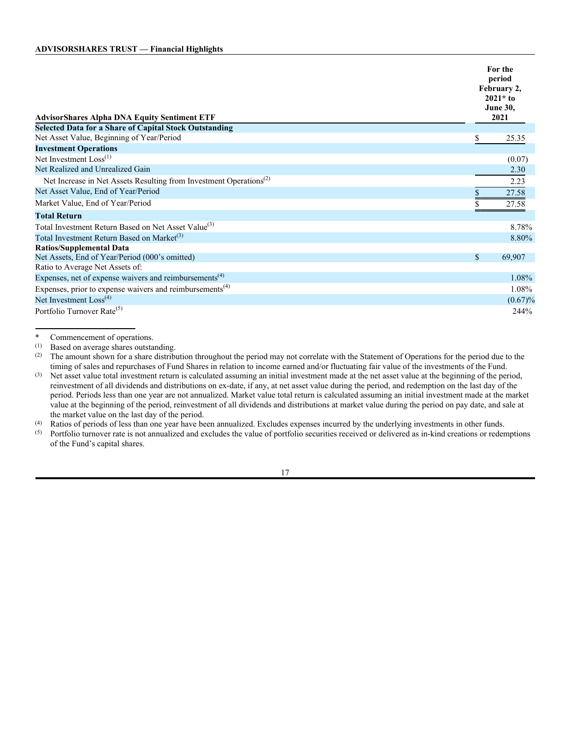| <b>AdvisorShares Alpha DNA Equity Sentiment ETF</b>                            |    | For the<br>period<br>February 2,<br>$2021*$ to<br><b>June 30,</b><br>2021 |
|--------------------------------------------------------------------------------|----|---------------------------------------------------------------------------|
| <b>Selected Data for a Share of Capital Stock Outstanding</b>                  |    |                                                                           |
| Net Asset Value, Beginning of Year/Period                                      | \$ | 25.35                                                                     |
| <b>Investment Operations</b>                                                   |    |                                                                           |
| Net Investment Loss <sup>(1)</sup>                                             |    | (0.07)                                                                    |
| Net Realized and Unrealized Gain                                               |    | 2.30                                                                      |
| Net Increase in Net Assets Resulting from Investment Operations <sup>(2)</sup> |    | 2.23                                                                      |
| Net Asset Value, End of Year/Period                                            | S  | 27.58                                                                     |
| Market Value, End of Year/Period                                               |    | 27.58                                                                     |
| <b>Total Return</b>                                                            |    |                                                                           |
| Total Investment Return Based on Net Asset Value <sup>(3)</sup>                |    | 8.78%                                                                     |
| Total Investment Return Based on Market <sup>(3)</sup>                         |    | 8.80%                                                                     |
| <b>Ratios/Supplemental Data</b>                                                |    |                                                                           |
| Net Assets, End of Year/Period (000's omitted)                                 | \$ | 69,907                                                                    |
| Ratio to Average Net Assets of:                                                |    |                                                                           |
| Expenses, net of expense waivers and reimbursements <sup>(4)</sup>             |    | 1.08%                                                                     |
| Expenses, prior to expense waivers and reimbursements $(4)$                    |    | 1.08%                                                                     |
| Net Investment Loss <sup>(4)</sup>                                             |    | $(0.67)\%$                                                                |
| Portfolio Turnover Rate <sup>(5)</sup>                                         |    | 244%                                                                      |

\* Commencement of operations.<br>(1) Based on average shares outsta

Based on average shares outstanding.

<sup>(2)</sup> The amount shown for a share distribution throughout the period may not correlate with the Statement of Operations for the period due to the timing of sales and repurchases of Fund Shares in relation to income earned and/or fluctuating fair value of the investments of the Fund.

(3) Net asset value total investment return is calculated assuming an initial investment made at the net asset value at the beginning of the period, reinvestment of all dividends and distributions on ex-date, if any, at net asset value during the period, and redemption on the last day of the period. Periods less than one year are not annualized. Market value total return is calculated assuming an initial investment made at the market value at the beginning of the period, reinvestment of all dividends and distributions at market value during the period on pay date, and sale at the market value on the last day of the period.

(4) Ratios of periods of less than one year have been annualized. Excludes expenses incurred by the underlying investments in other funds.<br>(5) Portfolio turnover rate is not annualized and excludes the value of portfolio s

Portfolio turnover rate is not annualized and excludes the value of portfolio securities received or delivered as in-kind creations or redemptions of the Fund's capital shares.